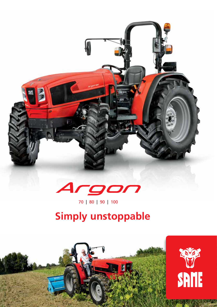

70 | 80 | 90 | 100

# **Simply unstoppable**

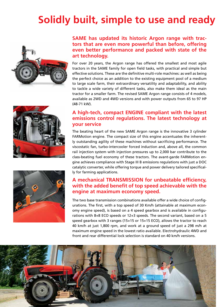## **Solidly built, simple to use and ready**







#### **SAME has updated its historic Argon range with tractors that are even more powerful than before, offering even better performance and packed with state of the art technology.**

For over 20 years, the Argon range has offered the smallest and most agile tractors in the SAME family for open field tasks, with practical and simple but effective solutions. These are the definitive multi-role machines: as well as being the perfect choice as an addition to the existing equipment pool of a medium to large scale farm, their extraordinary versatility and adaptability, and ability to tackle a wide variety of different tasks, also make them ideal as the main tractor for a smaller farm. The revised SAME Argon range consists of 4 models, available as 2WD and 4WD versions and with power outputs from 65 to 97 HP (48-71 kW).

#### **A high-tech, compact ENGINE compliant with the latest emissions control regulations. The latest technology at your service**

The beating heart of the new SAME Argon range is the innovative 3 cylinder FARMotion engine. The compact size of this engine accentuates the inherently outstanding agility of these machines without sacrificing performance. The viscostatic fan, turbo-intercooler forced induction and, above all, the common rail injection system with injection pressures up to 2,000 bar contribute to the class-beating fuel economy of these tractors. The avant-garde FARMotion engine achieves compliance with Stage III B emissions regulations with just a DOC catalytic converter, while offering torque and power delivery tailored specifically for farming applications.

#### **A mechanical TRANSMISSION for unbeatable efficiency, with the added benefit of top speed achievable with the engine at maximum economy speed.**

The two base transmission combinations available offer a wide choice of configurations. The first, with a top speed of 30 Km/h (attainable at maximum economy engine speed), is based on a 4 speed gearbox and is available in configurations with 8+8 ECO speeds or 12+3 speeds. The second variant, based on a 5 speed gearbox with 3 ranges (15+15 or 15+15 ECO), allows the tractor to reach 40 km/h at just 1,800 rpm, and work at a ground speed of just a 298 m/h at maximum engine speed in the lowest ratio available. Electrohydraulic 4WD and front and rear differential lock selection is standard on 40 km/h versions.

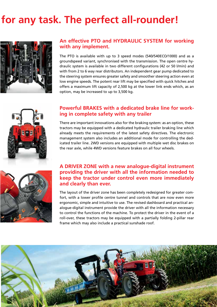### for any task. The perfect all-rounder!



#### **An effective PTO and HYDRAULIC SYSTEM for working with any implement.**

The PTO is available with up to 3 speed modes (540/540ECO/1000) and as a groundspeed variant, synchronised with the transmission. The open centre hydraulic system is available in two different configurations (42 or 50 l/min) and with from 2 to 6 way rear distributors. An independent gear pump dedicated to the steering system ensures greater safety and smoother steering action even at low engine speeds. The potent rear lift may be specified with quick hitches and offers a maximum lift capacity of 2,500 kg at the lower link ends which, as an option, may be increased to up to 3,500 kg.



#### **Powerful BRAKES with a dedicated brake line for working in complete safety with any trailer**

There are important innovations also for the braking system: as an option, these tractors may be equipped with a dedicated hydraulic trailer braking line which already meets the requirements of the latest safety directives. The electronic management system also includes an additional mode for controlling the dedicated trailer line. 2WD versions are equipped with multiple wet disc brakes on the rear axle, while 4WD versions feature brakes on all four wheels.



#### **A DRIVER ZONE with a new analogue-digital instrument providing the driver with all the information needed to keep the tractor under control even more immediately and clearly than ever.**

The layout of the driver zone has been completely redesigned for greater comfort, with a lower profile centre tunnel and controls that are now even more ergonomic, simple and intuitive to use. The revised dashboard and practical analogue-digital instrument provide the driver with all the information necessary to control the functions of the machine. To protect the driver in the event of a roll-over, these tractors may be equipped with a partially folding 2-pillar rear frame which may also include a practical sunshade roof.